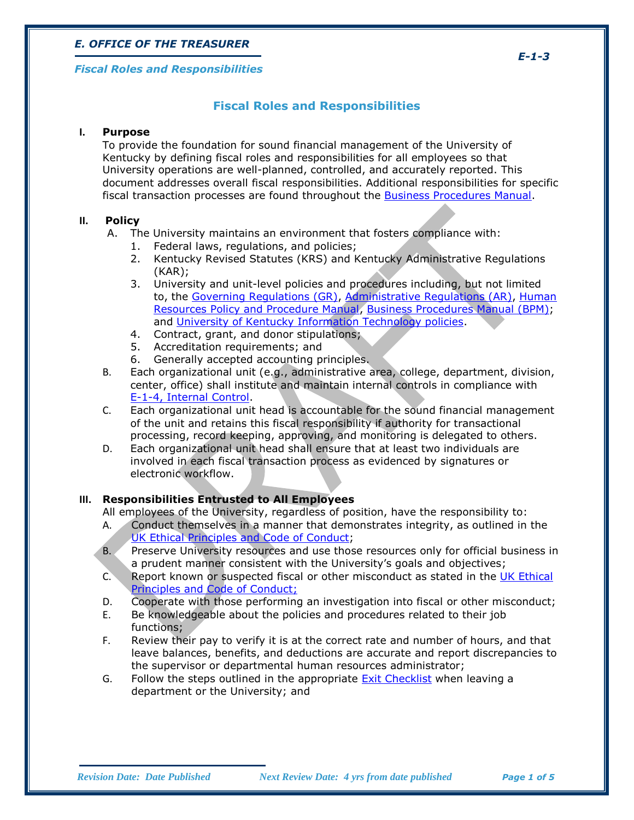#### *Fiscal Roles and Responsibilities*

## **Fiscal Roles and Responsibilities**

## **I. Purpose**

To provide the foundation for sound financial management of the University of Kentucky by defining fiscal roles and responsibilities for all employees so that University operations are well-planned, controlled, and accurately reported. This document addresses overall fiscal responsibilities. Additional responsibilities for specific fiscal transaction processes are found throughout the [Business Procedures Manual.](http://www.uky.edu/EVPFA/Controller/BPM.htm)

## **II. Policy**

- A. The University maintains an environment that fosters compliance with:
	- 1. Federal laws, regulations, and policies;
	- 2. Kentucky Revised Statutes (KRS) and Kentucky Administrative Regulations (KAR);
	- 3. University and unit-level policies and procedures including, but not limited to, the [Governing Regulations \(GR\),](http://www.uky.edu/regs/gr.htm) [Administrative Regulations \(AR\),](http://www.uky.edu/regs/ar.htm) [Human](http://www.uky.edu/HR/policies/)  [Resources Policy and Procedure Manual,](http://www.uky.edu/HR/policies/) [Business Procedures Manual \(BPM\);](http://www.uky.edu/EVPFA/Controller/BPM.htm) and [University of Kentucky Information Technology policies.](http://www.uky.edu/UKIT/policies.htm)
	- 4. Contract, grant, and donor stipulations;
	- 5. Accreditation requirements; and
	- 6. Generally accepted accounting principles.
- B. Each organizational unit (e.g., administrative area, college, department, division, center, office) shall institute and maintain internal controls in compliance with [E-1-4, Internal Control.](http://www.uky.edu/EVPFA/Controller/files/BPM/E-1-4.pdf)
- C. Each organizational unit head is accountable for the sound financial management of the unit and retains this fiscal responsibility if authority for transactional processing, record keeping, approving, and monitoring is delegated to others.
- D. Each organizational unit head shall ensure that at least two individuals are involved in each fiscal transaction process as evidenced by signatures or electronic workflow.

## **III. Responsibilities Entrusted to All Employees**

All employees of the University, regardless of position, have the responsibility to:

- A. Conduct themselves in a manner that demonstrates integrity, as outlined in the [UK Ethical Principles and Code of Conduct;](http://www.uky.edu/Legal/ethicscode.htm)
- B. Preserve University resources and use those resources only for official business in a prudent manner consistent with the University's goals and objectives;
- C. Report known or suspected fiscal or other misconduct as stated in the [UK Ethical](http://www.uky.edu/Legal/ethicscode.htm)  [Principles and Code of Conduct;](http://www.uky.edu/Legal/ethicscode.htm)
- D. Cooperate with those performing an investigation into fiscal or other misconduct;
- E. Be knowledgeable about the policies and procedures related to their job functions;
- F. Review their pay to verify it is at the correct rate and number of hours, and that leave balances, benefits, and deductions are accurate and report discrepancies to the supervisor or departmental human resources administrator;
- G. Follow the steps outlined in the appropriate **Exit Checklist** when leaving a department or the University; and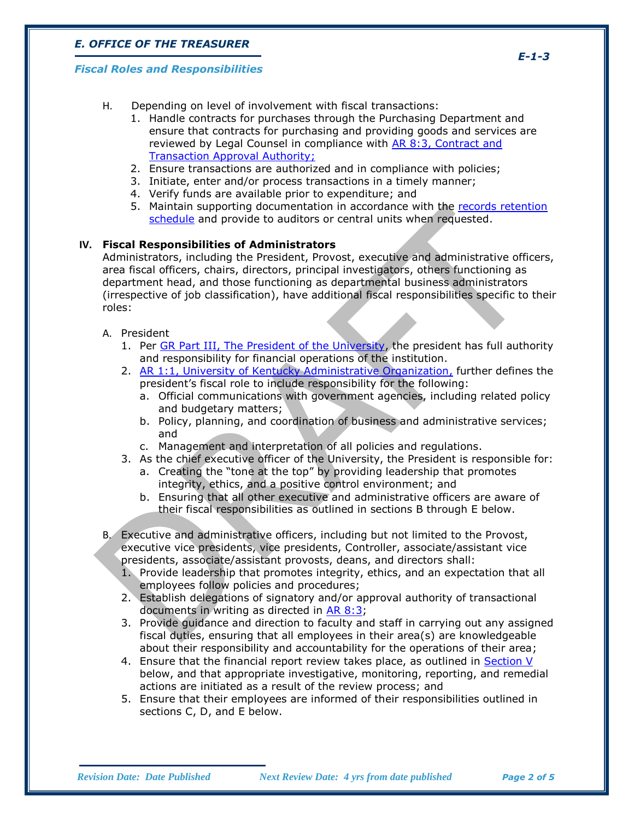#### *Fiscal Roles and Responsibilities*

- H. Depending on level of involvement with fiscal transactions:
	- 1. Handle contracts for purchases through the Purchasing Department and ensure that contracts for purchasing and providing goods and services are reviewed by Legal Counsel in compliance with [AR 8:3, Contract and](http://www.uky.edu/Regs/files/ar/ar8-3.pdf)  [Transaction Approval Authority;](http://www.uky.edu/Regs/files/ar/ar8-3.pdf)
	- 2. Ensure transactions are authorized and in compliance with policies;
	- 3. Initiate, enter and/or process transactions in a timely manner;
	- 4. Verify funds are available prior to expenditure; and
	- 5. Maintain supporting documentation in accordance with the [records retention](http://libraries.uky.edu/libpage.php?lweb_id=300&llib_id=13)  [schedule](http://libraries.uky.edu/libpage.php?lweb_id=300&llib_id=13) and provide to auditors or central units when requested.

## **IV. Fiscal Responsibilities of Administrators**

Administrators, including the President, Provost, executive and administrative officers, area fiscal officers, chairs, directors, principal investigators, others functioning as department head, and those functioning as departmental business administrators (irrespective of job classification), have additional fiscal responsibilities specific to their roles:

- A. President
	- 1. Per [GR Part III, The President of the University,](http://www.uky.edu/Regs/files/gr/gr3.pdf) the president has full authority and responsibility for financial operations of the institution.
	- 2. AR [1:1, University of Kentucky Administrative Organization,](http://www.uky.edu/Regs/files/ar/ar1-1.pdf) further defines the president's fiscal role to include responsibility for the following:
		- a. Official communications with government agencies, including related policy and budgetary matters;
		- b. Policy, planning, and coordination of business and administrative services; and
		- c. Management and interpretation of all policies and regulations.
	- 3. As the chief executive officer of the University, the President is responsible for: a. Creating the "tone at the top" by providing leadership that promotes integrity, ethics, and a positive control environment; and
		- b. Ensuring that all other executive and administrative officers are aware of their fiscal responsibilities as outlined in sections B through E below.
- B. Executive and administrative officers, including but not limited to the Provost, executive vice presidents, vice presidents, Controller, associate/assistant vice presidents, associate/assistant provosts, deans, and directors shall:
	- 1. Provide leadership that promotes integrity, ethics, and an expectation that all employees follow policies and procedures;
	- 2. Establish delegations of signatory and/or approval authority of transactional documents in writing as directed in AR [8:3;](http://www.uky.edu/Regs/files/ar/ar8-3.pdf)
	- 3. Provide guidance and direction to faculty and staff in carrying out any assigned fiscal duties, ensuring that all employees in their area(s) are knowledgeable about their responsibility and accountability for the operations of their area;
	- 4. Ensure that the financial report review takes place, as outlined in [Section V](#page-3-0) below, and that appropriate investigative, monitoring, reporting, and remedial actions are initiated as a result of the review process; and
	- 5. Ensure that their employees are informed of their responsibilities outlined in sections C, D, and E below.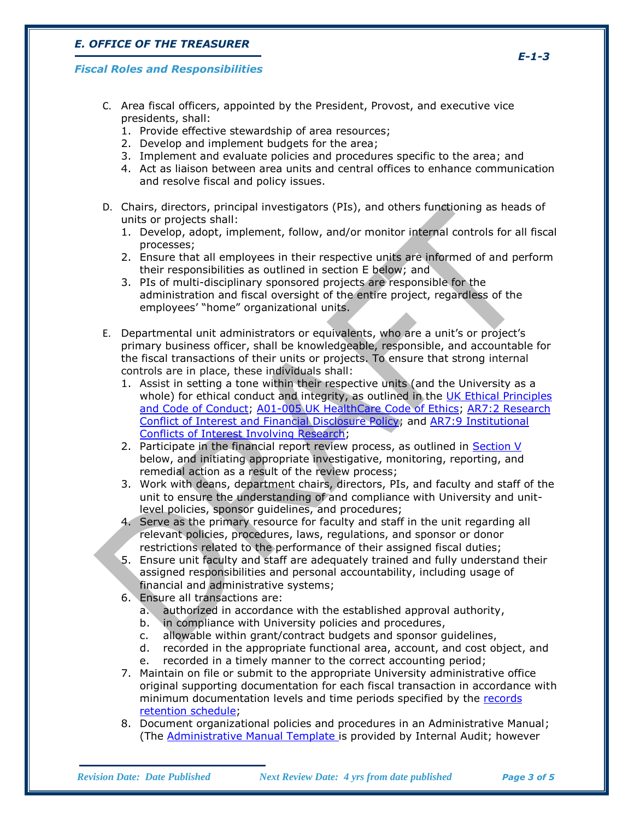### *Fiscal Roles and Responsibilities*

- C. Area fiscal officers, appointed by the President, Provost, and executive vice presidents, shall:
	- 1. Provide effective stewardship of area resources;
	- 2. Develop and implement budgets for the area;
	- 3. Implement and evaluate policies and procedures specific to the area; and
	- 4. Act as liaison between area units and central offices to enhance communication and resolve fiscal and policy issues.
- D. Chairs, directors, principal investigators (PIs), and others functioning as heads of units or projects shall:
	- 1. Develop, adopt, implement, follow, and/or monitor internal controls for all fiscal processes;
	- 2. Ensure that all employees in their respective units are informed of and perform their responsibilities as outlined in section E below; and
	- 3. PIs of multi-disciplinary sponsored projects are responsible for the administration and fiscal oversight of the entire project, regardless of the employees' "home" organizational units.
- E. Departmental unit administrators or equivalents, who are a unit's or project's primary business officer, shall be knowledgeable, responsible, and accountable for the fiscal transactions of their units or projects. To ensure that strong internal controls are in place, these individuals shall:
	- 1. Assist in setting a tone within their respective units (and the University as a whole) for ethical conduct and integrity, as outlined in the [UK Ethical Principles](http://www.uky.edu/Legal/ethicscode.htm)  [and Code of Conduct;](http://www.uky.edu/Legal/ethicscode.htm) [A01-005 UK HealthCare Code of Ethics;](http://www.hosp.uky.edu/policies/viewpolicy.asp?PolicyManual=10&PolicyID=771) [AR7:2 Research](http://www.uky.edu/Regs/files/ar/ar7-2.pdf)  [Conflict of Interest and Financial](http://www.uky.edu/Regs/files/ar/ar7-2.pdf) Disclosure Policy; and [AR7:9 Institutional](http://www.uky.edu/Regs/files/ar/ar7-9.pdf)  [Conflicts of Interest Involving Research;](http://www.uky.edu/Regs/files/ar/ar7-9.pdf)
	- 2. Participate in the financial report review process, as outlined in [Section V](#page-3-0) below, and initiating appropriate investigative, monitoring, reporting, and remedial action as a result of the review process;
	- 3. Work with deans, department chairs, directors, PIs, and faculty and staff of the unit to ensure the understanding of and compliance with University and unitlevel policies, sponsor guidelines, and procedures;
	- 4. Serve as the primary resource for faculty and staff in the unit regarding all relevant policies, procedures, laws, regulations, and sponsor or donor restrictions related to the performance of their assigned fiscal duties;
	- 5. Ensure unit faculty and staff are adequately trained and fully understand their assigned responsibilities and personal accountability, including usage of financial and administrative systems;
	- 6. Ensure all transactions are:
		- a. authorized in accordance with the established approval authority,
		- b. in compliance with University policies and procedures,
		- c. allowable within grant/contract budgets and sponsor guidelines,
		- d. recorded in the appropriate functional area, account, and cost object, and
		- e. recorded in a timely manner to the correct accounting period;
	- 7. Maintain on file or submit to the appropriate University administrative office original supporting documentation for each fiscal transaction in accordance with minimum documentation levels and time periods specified by the [records](http://libraries.uky.edu/libpage.php?lweb_id=300&llib_id=13)  [retention schedule;](http://libraries.uky.edu/libpage.php?lweb_id=300&llib_id=13)
	- 8. Document organizational policies and procedures in an Administrative Manual; (The [Administrative Manual Template](https://sharepoint.uky.edu/InternalAudit/Samples%20%20Templates/Administrative%20Manual%20Template%20(2).pdf) is provided by Internal Audit; however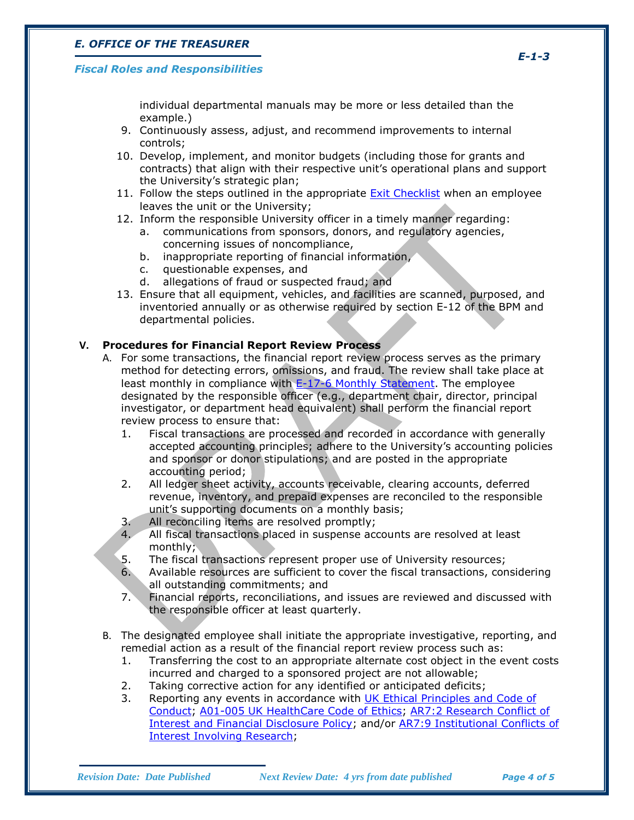#### *Fiscal Roles and Responsibilities*

individual departmental manuals may be more or less detailed than the example.)

- 9. Continuously assess, adjust, and recommend improvements to internal controls;
- 10. Develop, implement, and monitor budgets (including those for grants and contracts) that align with their respective unit's operational plans and support the University's strategic plan;
- 11. Follow the steps outlined in the appropriate [Exit Checklist](http://www.uky.edu/HR/ExitHome.html) when an employee leaves the unit or the University;
- 12. Inform the responsible University officer in a timely manner regarding:
	- a. communications from sponsors, donors, and regulatory agencies, concerning issues of noncompliance,
	- b. inappropriate reporting of financial information,
	- c. questionable expenses, and
	- d. allegations of fraud or suspected fraud; and
- 13. Ensure that all equipment, vehicles, and facilities are scanned, purposed, and inventoried annually or as otherwise required by section E-12 of the BPM and departmental policies.

#### **V. Procedures for Financial Report Review Process**

- <span id="page-3-0"></span>A. For some transactions, the financial report review process serves as the primary method for detecting errors, omissions, and fraud. The review shall take place at least monthly in compliance with [E-17-6 Monthly Statement.](http://www.uky.edu/EVPFA/Controller/files/BPM/E-17-6.pdf) The employee designated by the responsible officer (e.g., department chair, director, principal investigator, or department head equivalent) shall perform the financial report review process to ensure that:
	- 1. Fiscal transactions are processed and recorded in accordance with generally accepted accounting principles; adhere to the University's accounting policies and sponsor or donor stipulations; and are posted in the appropriate accounting period;
	- 2. All ledger sheet activity, accounts receivable, clearing accounts, deferred revenue, inventory, and prepaid expenses are reconciled to the responsible unit's supporting documents on a monthly basis;
	- 3. All reconciling items are resolved promptly;
	- 4. All fiscal transactions placed in suspense accounts are resolved at least monthly;
	- 5. The fiscal transactions represent proper use of University resources;
	- 6. Available resources are sufficient to cover the fiscal transactions, considering all outstanding commitments; and
	- 7. Financial reports, reconciliations, and issues are reviewed and discussed with the responsible officer at least quarterly.
- B. The designated employee shall initiate the appropriate investigative, reporting, and remedial action as a result of the [financial report review](#page-3-0) process such as:
	- 1. Transferring the cost to an appropriate alternate cost object in the event costs incurred and charged to a sponsored project are not allowable;
	- 2. Taking corrective action for any identified or anticipated deficits;
	- 3. Reporting any events in accordance with [UK Ethical Principles and Code of](http://www.uky.edu/Legal/ethicscode.htm)  [Conduct;](http://www.uky.edu/Legal/ethicscode.htm) [A01-005 UK HealthCare Code of Ethics;](http://www.hosp.uky.edu/policies/viewpolicy.asp?PolicyManual=10&PolicyID=771) [AR7:2 Research Conflict of](http://www.uky.edu/Regs/files/ar/ar7-2.pdf)  [Interest and Financial Disclosure Policy;](http://www.uky.edu/Regs/files/ar/ar7-2.pdf) and/or [AR7:9 Institutional Conflicts of](http://www.uky.edu/Regs/files/ar/ar7-9.pdf)  [Interest Involving Research;](http://www.uky.edu/Regs/files/ar/ar7-9.pdf)